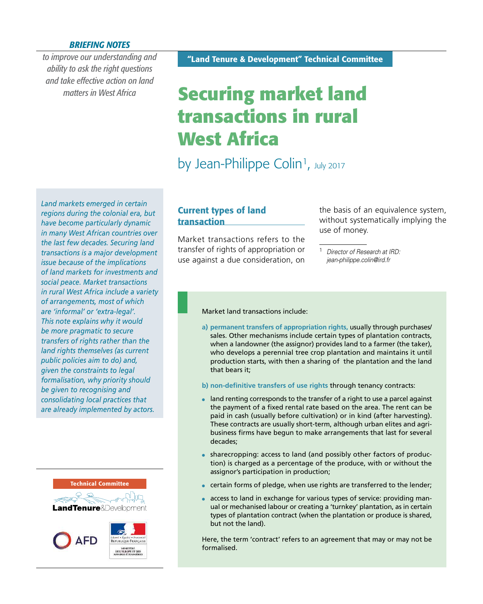#### *BRIEFING NOTES*

*to improve our understanding and ability to ask the right questions and take effective action on land matters in West Africa*

# **Securing market land transactions in rural West Africa**

by Jean-Philippe Colin<sup>1</sup>, July 2017

*Land markets emerged in certain regions during the colonial era, but have become particularly dynamic in many West African countries over the last few decades. Securing land transactions is a major development issue because of the implications of land markets for investments and social peace. Market transactions in rural West Africa include a variety of arrangements, most of which are 'informal' or 'extra-legal'. This note explains why it would be more pragmatic to secure transfers of rights rather than the land rights themselves (as current public policies aim to do) and, given the constraints to legal formalisation, why priority should be given to recognising and consolidating local practices that are already implemented by actors.*



Current types of land transaction

Market transactions refers to the transfer of rights of appropriation or use against a due consideration, on the basis of an equivalence system, without systematically implying the use of money.

<sup>1</sup> *Director of Research at IRD: jean-philippe.colin@ird.fr*

Market land transactions include:

**a) permanent transfers of appropriation rights,** usually through purchases/ sales. Other mechanisms include certain types of plantation contracts, when a landowner (the assignor) provides land to a farmer (the taker), who develops a perennial tree crop plantation and maintains it until production starts, with then a sharing of the plantation and the land that bears it;

**b) non-definitive transfers of use rights** through tenancy contracts:

- land renting corresponds to the transfer of a right to use a parcel against the payment of a fixed rental rate based on the area. The rent can be paid in cash (usually before cultivation) or in kind (after harvesting). These contracts are usually short-term, although urban elites and agribusiness firms have begun to make arrangements that last for several decades;
- sharecropping: access to land (and possibly other factors of production) is charged as a percentage of the produce, with or without the assignor's participation in production;
- certain forms of pledge, when use rights are transferred to the lender;
- access to land in exchange for various types of service: providing manual or mechanised labour or creating a 'turnkey' plantation, as in certain types of plantation contract (when the plantation or produce is shared, but not the land).

Here, the term 'contract' refers to an agreement that may or may not be formalised.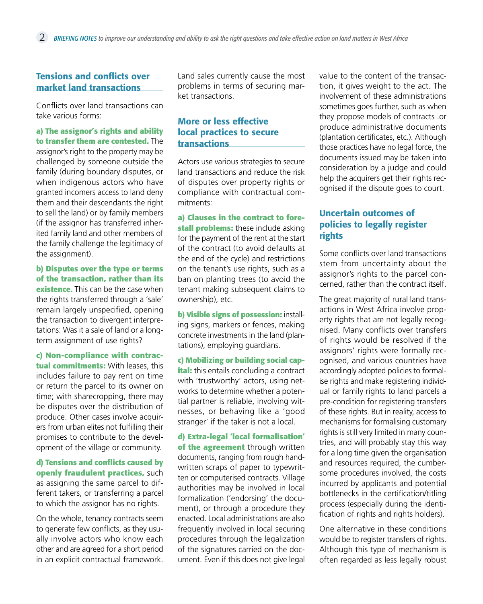### Tensions and conflicts over market land transactions

Conflicts over land transactions can take various forms:

**a) The assignor's rights and ability to transfer them are contested.** The assignor's right to the property may be challenged by someone outside the family (during boundary disputes, or when indigenous actors who have granted incomers access to land deny them and their descendants the right to sell the land) or by family members (if the assignor has transferred inherited family land and other members of the family challenge the legitimacy of the assignment).

**b) Disputes over the type or terms of the transaction, rather than its existence.** This can be the case when the rights transferred through a 'sale' remain largely unspecified, opening the transaction to divergent interpretations: Was it a sale of land or a longterm assignment of use rights?

**c) Non-compliance with contractual commitments:** With leases, this includes failure to pay rent on time or return the parcel to its owner on time; with sharecropping, there may be disputes over the distribution of produce. Other cases involve acquirers from urban elites not fulfilling their promises to contribute to the development of the village or community.

**d) Tensions and conflicts caused by openly fraudulent practices,** such as assigning the same parcel to different takers, or transferring a parcel to which the assignor has no rights.

On the whole, tenancy contracts seem to generate few conflicts, as they usually involve actors who know each other and are agreed for a short period in an explicit contractual framework.

Land sales currently cause the most problems in terms of securing market transactions.

## More or less effective local practices to secure transactions

Actors use various strategies to secure land transactions and reduce the risk of disputes over property rights or compliance with contractual commitments:

**a) Clauses in the contract to forestall problems:** these include asking for the payment of the rent at the start of the contract (to avoid defaults at the end of the cycle) and restrictions on the tenant's use rights, such as a ban on planting trees (to avoid the tenant making subsequent claims to ownership), etc.

**b) Visible signs of possession:** installing signs, markers or fences, making concrete investments in the land (plantations), employing guardians.

**c) Mobilizing or building social capital:** this entails concluding a contract with 'trustworthy' actors, using networks to determine whether a potential partner is reliable, involving witnesses, or behaving like a 'good stranger' if the taker is not a local.

**d) Extra-legal 'local formalisation' of the agreement** through written documents, ranging from rough handwritten scraps of paper to typewritten or computerised contracts. Village authorities may be involved in local formalization ('endorsing' the document), or through a procedure they enacted. Local administrations are also frequently involved in local securing procedures through the legalization of the signatures carried on the document. Even if this does not give legal

value to the content of the transaction, it gives weight to the act. The involvement of these administrations sometimes goes further, such as when they propose models of contracts .or produce administrative documents (plantation certificates, etc.). Although those practices have no legal force, the documents issued may be taken into consideration by a judge and could help the acquirers get their rights recognised if the dispute goes to court.

## Uncertain outcomes of policies to legally register rights

Some conflicts over land transactions stem from uncertainty about the assignor's rights to the parcel concerned, rather than the contract itself.

The great majority of rural land transactions in West Africa involve property rights that are not legally recognised. Many conflicts over transfers of rights would be resolved if the assignors' rights were formally recognised, and various countries have accordingly adopted policies to formalise rights and make registering individual or family rights to land parcels a pre-condition for registering transfers of these rights. But in reality, access to mechanisms for formalising customary rights is still very limited in many countries, and will probably stay this way for a long time given the organisation and resources required, the cumbersome procedures involved, the costs incurred by applicants and potential bottlenecks in the certification/titling process (especially during the identification of rights and rights holders).

One alternative in these conditions would be to register transfers of rights. Although this type of mechanism is often regarded as less legally robust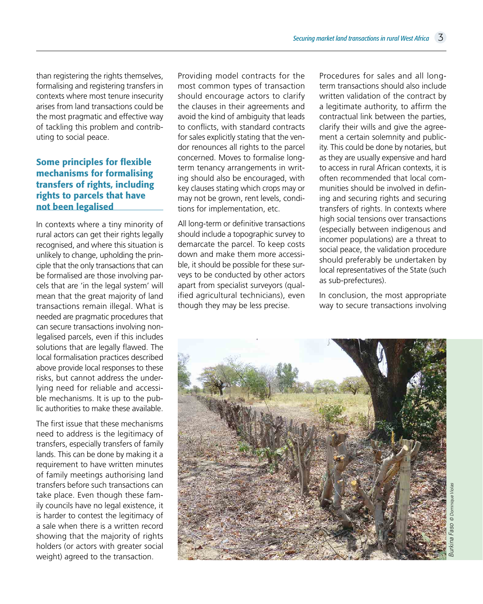than registering the rights themselves, formalising and registering transfers in contexts where most tenure insecurity arises from land transactions could be the most pragmatic and effective way of tackling this problem and contributing to social peace.

# Some principles for flexible mechanisms for formalising transfers of rights, including rights to parcels that have not been legalised

In contexts where a tiny minority of rural actors can get their rights legally recognised, and where this situation is unlikely to change, upholding the principle that the only transactions that can be formalised are those involving parcels that are 'in the legal system' will mean that the great majority of land transactions remain illegal. What is needed are pragmatic procedures that can secure transactions involving nonlegalised parcels, even if this includes solutions that are legally flawed. The local formalisation practices described above provide local responses to these risks, but cannot address the underlying need for reliable and accessible mechanisms. It is up to the public authorities to make these available.

The first issue that these mechanisms need to address is the legitimacy of transfers, especially transfers of family lands. This can be done by making it a requirement to have written minutes of family meetings authorising land transfers before such transactions can take place. Even though these family councils have no legal existence, it is harder to contest the legitimacy of a sale when there is a written record showing that the majority of rights holders (or actors with greater social weight) agreed to the transaction.

Providing model contracts for the most common types of transaction should encourage actors to clarify the clauses in their agreements and avoid the kind of ambiguity that leads to conflicts, with standard contracts for sales explicitly stating that the vendor renounces all rights to the parcel concerned. Moves to formalise longterm tenancy arrangements in writing should also be encouraged, with key clauses stating which crops may or may not be grown, rent levels, conditions for implementation, etc.

All long-term or definitive transactions should include a topographic survey to demarcate the parcel. To keep costs down and make them more accessible, it should be possible for these surveys to be conducted by other actors apart from specialist surveyors (qualified agricultural technicians), even though they may be less precise.

Procedures for sales and all longterm transactions should also include written validation of the contract by a legitimate authority, to affirm the contractual link between the parties, clarify their wills and give the agreement a certain solemnity and publicity. This could be done by notaries, but as they are usually expensive and hard to access in rural African contexts, it is often recommended that local communities should be involved in defining and securing rights and securing transfers of rights. In contexts where high social tensions over transactions (especially between indigenous and incomer populations) are a threat to social peace, the validation procedure should preferably be undertaken by local representatives of the State (such as sub-prefectures).

In conclusion, the most appropriate way to secure transactions involving